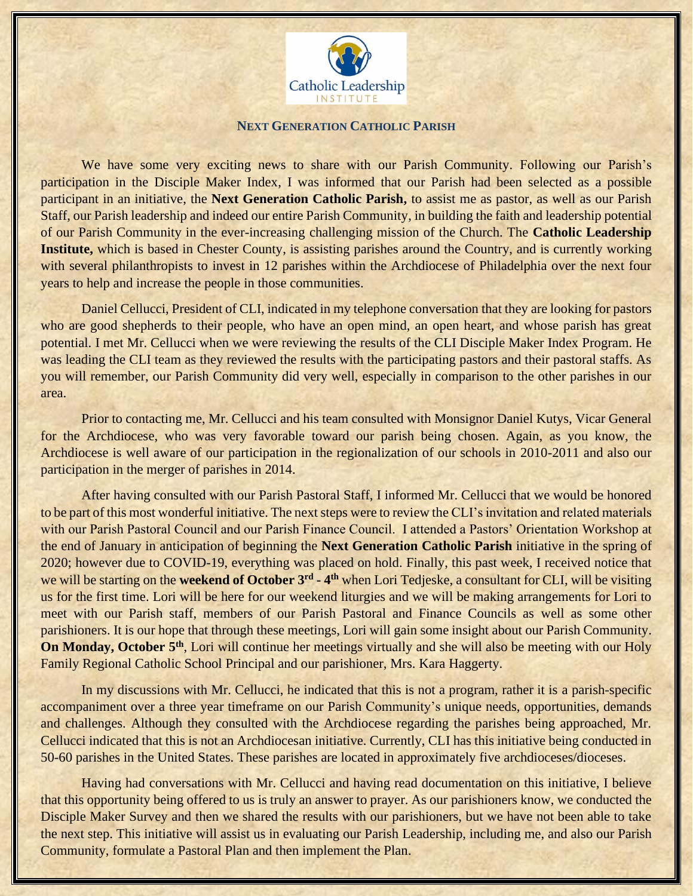

## **NEXT GENERATION CATHOLIC PARISH**

We have some very exciting news to share with our Parish Community. Following our Parish's participation in the Disciple Maker Index, I was informed that our Parish had been selected as a possible participant in an initiative, the **Next Generation Catholic Parish,** to assist me as pastor, as well as our Parish Staff, our Parish leadership and indeed our entire Parish Community, in building the faith and leadership potential of our Parish Community in the ever-increasing challenging mission of the Church. The **Catholic Leadership Institute,** which is based in Chester County, is assisting parishes around the Country, and is currently working with several philanthropists to invest in 12 parishes within the Archdiocese of Philadelphia over the next four years to help and increase the people in those communities.

Daniel Cellucci, President of CLI, indicated in my telephone conversation that they are looking for pastors who are good shepherds to their people, who have an open mind, an open heart, and whose parish has great potential. I met Mr. Cellucci when we were reviewing the results of the CLI Disciple Maker Index Program. He was leading the CLI team as they reviewed the results with the participating pastors and their pastoral staffs. As you will remember, our Parish Community did very well, especially in comparison to the other parishes in our area.

Prior to contacting me, Mr. Cellucci and his team consulted with Monsignor Daniel Kutys, Vicar General for the Archdiocese, who was very favorable toward our parish being chosen. Again, as you know, the Archdiocese is well aware of our participation in the regionalization of our schools in 2010-2011 and also our participation in the merger of parishes in 2014.

After having consulted with our Parish Pastoral Staff, I informed Mr. Cellucci that we would be honored to be part of this most wonderful initiative. The next steps were to review the CLI's invitation and related materials with our Parish Pastoral Council and our Parish Finance Council. I attended a Pastors' Orientation Workshop at the end of January in anticipation of beginning the **Next Generation Catholic Parish** initiative in the spring of 2020; however due to COVID-19, everything was placed on hold. Finally, this past week, I received notice that we will be starting on the weekend of October 3<sup>rd</sup> - 4<sup>th</sup> when Lori Tedjeske, a consultant for CLI, will be visiting us for the first time. Lori will be here for our weekend liturgies and we will be making arrangements for Lori to meet with our Parish staff, members of our Parish Pastoral and Finance Councils as well as some other parishioners. It is our hope that through these meetings, Lori will gain some insight about our Parish Community. **On Monday, October 5th**, Lori will continue her meetings virtually and she will also be meeting with our Holy Family Regional Catholic School Principal and our parishioner, Mrs. Kara Haggerty.

In my discussions with Mr. Cellucci, he indicated that this is not a program, rather it is a parish-specific accompaniment over a three year timeframe on our Parish Community's unique needs, opportunities, demands and challenges. Although they consulted with the Archdiocese regarding the parishes being approached, Mr. Cellucci indicated that this is not an Archdiocesan initiative. Currently, CLI has this initiative being conducted in 50-60 parishes in the United States. These parishes are located in approximately five archdioceses/dioceses.

Having had conversations with Mr. Cellucci and having read documentation on this initiative, I believe that this opportunity being offered to us is truly an answer to prayer. As our parishioners know, we conducted the Disciple Maker Survey and then we shared the results with our parishioners, but we have not been able to take the next step. This initiative will assist us in evaluating our Parish Leadership, including me, and also our Parish Community, formulate a Pastoral Plan and then implement the Plan.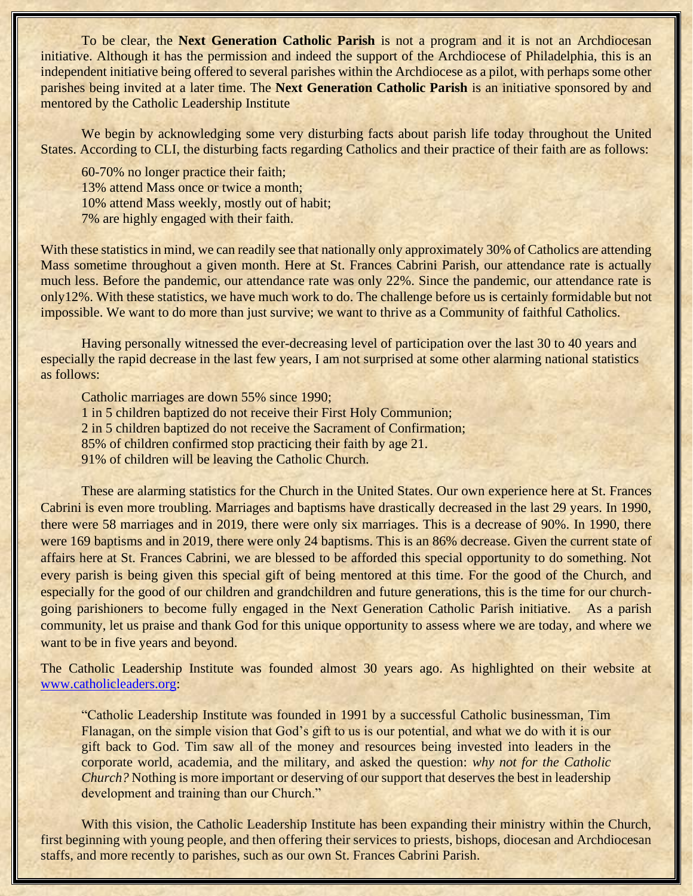To be clear, the **Next Generation Catholic Parish** is not a program and it is not an Archdiocesan initiative. Although it has the permission and indeed the support of the Archdiocese of Philadelphia, this is an independent initiative being offered to several parishes within the Archdiocese as a pilot, with perhaps some other parishes being invited at a later time. The **Next Generation Catholic Parish** is an initiative sponsored by and mentored by the Catholic Leadership Institute

We begin by acknowledging some very disturbing facts about parish life today throughout the United States. According to CLI, the disturbing facts regarding Catholics and their practice of their faith are as follows:

60-70% no longer practice their faith; 13% attend Mass once or twice a month; 10% attend Mass weekly, mostly out of habit; 7% are highly engaged with their faith.

With these statistics in mind, we can readily see that nationally only approximately 30% of Catholics are attending Mass sometime throughout a given month. Here at St. Frances Cabrini Parish, our attendance rate is actually much less. Before the pandemic, our attendance rate was only 22%. Since the pandemic, our attendance rate is only12%. With these statistics, we have much work to do. The challenge before us is certainly formidable but not impossible. We want to do more than just survive; we want to thrive as a Community of faithful Catholics.

Having personally witnessed the ever-decreasing level of participation over the last 30 to 40 years and especially the rapid decrease in the last few years, I am not surprised at some other alarming national statistics as follows:

Catholic marriages are down 55% since 1990;

1 in 5 children baptized do not receive their First Holy Communion;

2 in 5 children baptized do not receive the Sacrament of Confirmation;

85% of children confirmed stop practicing their faith by age 21.

91% of children will be leaving the Catholic Church.

These are alarming statistics for the Church in the United States. Our own experience here at St. Frances Cabrini is even more troubling. Marriages and baptisms have drastically decreased in the last 29 years. In 1990, there were 58 marriages and in 2019, there were only six marriages. This is a decrease of 90%. In 1990, there were 169 baptisms and in 2019, there were only 24 baptisms. This is an 86% decrease. Given the current state of affairs here at St. Frances Cabrini, we are blessed to be afforded this special opportunity to do something. Not every parish is being given this special gift of being mentored at this time. For the good of the Church, and especially for the good of our children and grandchildren and future generations, this is the time for our churchgoing parishioners to become fully engaged in the Next Generation Catholic Parish initiative. As a parish community, let us praise and thank God for this unique opportunity to assess where we are today, and where we want to be in five years and beyond.

The Catholic Leadership Institute was founded almost 30 years ago. As highlighted on their website at [www.catholicleaders.org:](http://www.catholicleaders.org/)

"Catholic Leadership Institute was founded in 1991 by a successful Catholic businessman, Tim Flanagan, on the simple vision that God's gift to us is our potential, and what we do with it is our gift back to God. Tim saw all of the money and resources being invested into leaders in the corporate world, academia, and the military, and asked the question: *why not for the Catholic Church?* Nothing is more important or deserving of our support that deserves the best in leadership development and training than our Church."

With this vision, the Catholic Leadership Institute has been expanding their ministry within the Church, first beginning with young people, and then offering their services to priests, bishops, diocesan and Archdiocesan staffs, and more recently to parishes, such as our own St. Frances Cabrini Parish.